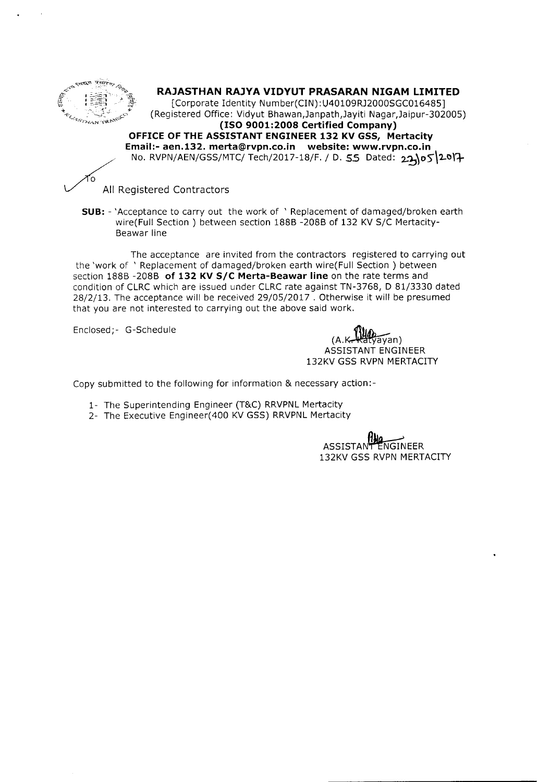

## **RAJASTHAN RAJYA VIDYUT PRASARAN NIGAM LIMITED**

[Corporate Identity Number(CIN): U40109RJ2000SGC016485] (Registered Office: Vidyut Bhawan,Janpath,Jayiti Nagar,Jaipur-302005) **(ISO 9001:2008 Certified Company) OFFICEOFTHEASSISTANT ENGINEER132 KV GSS, Mertacity Email:-aen.132.merta@rvpn.co.in website: www.rvpn.co.in** No. RVPN/AEN/GSS/MTC/ Tech/2017-18/F. / D. 55 Dated: 22105<sup>2017</sup>

ົດ

All Registered Contractors

**SUB: -** 'Acceptance to carry out the work of ' Replacement of damaged/broken earth wire(Full Section) between section 188B -208B of 132 KV S/C Mertacity-6eawar line

The acceptance are invited from the contractors registered to carrying out the 'work of ' Replacement of damaged/broken earth wire(Fuil Section) between section 1886 -2086 **of 132 KV** *SIC* **Merta-Beawar line** on the rate terms and condition of CLRC which are issued under CLRC rate against TN-3768, D 81/3330 dated 28/2/13. The acceptance will be received 29/05/2017 . Otherwise it will be presumed that you are not interested to carrying out the above said work.

Enclosed;- G-Schedule

 $\widetilde{\mathsf{ayan}}$ (A.~n) ASSISTANT ENGINEER 132KV GSS RVPN MERTACITY

Copy submitted to the following for information & necessary action:-

- 1- The Superintending Engineer (T&C) RRVPNL Mertacity
- 2- The Executive Engineer(400 KV GSS) RRVPNL Mertacity

ASSISTANT ENGINEER 132KV GSS RVPN MERTACITY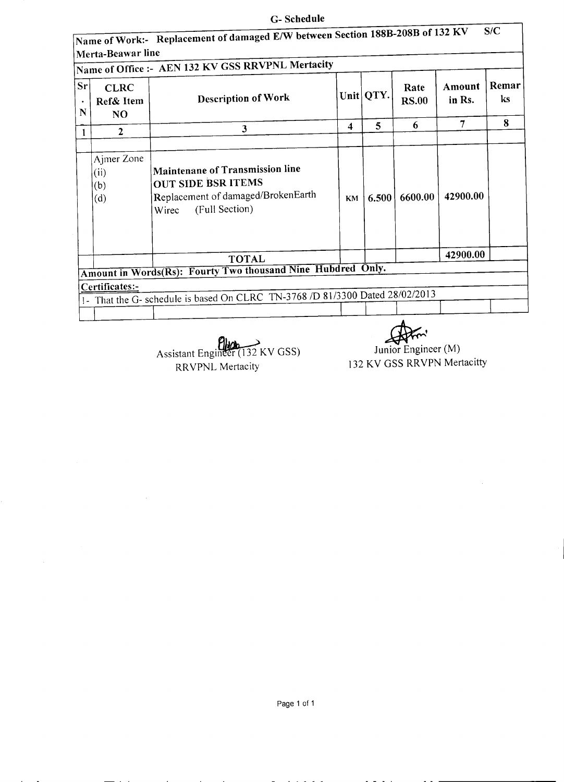## **G- Schedule**

|         | Merta-Beawar line                          | Name of Office :- AEN 132 KV GSS RRVPNL Mertacity                                                                                    |                         |             |                      |                  |             |
|---------|--------------------------------------------|--------------------------------------------------------------------------------------------------------------------------------------|-------------------------|-------------|----------------------|------------------|-------------|
| sr<br>N | <b>CLRC</b><br>Ref& Item<br>N <sub>O</sub> | <b>Description of Work</b>                                                                                                           |                         | Unit   QTY. | Rate<br><b>RS.00</b> | Amount<br>in Rs. | Remar<br>ks |
|         | $\mathbf{2}$                               | 3                                                                                                                                    | $\overline{\mathbf{4}}$ | 5           | 6                    | 7                | 8           |
|         | Ajmer Zone<br>(ii)<br>(b)<br>(d)           | <b>Maintenane of Transmission line</b><br><b>OUT SIDE BSR ITEMS</b><br>Replacement of damaged/BrokenEarth<br>(Full Section)<br>Wirec | <b>KM</b>               | 6.500       | 6600.00              | 42900.00         |             |
|         |                                            | <b>TOTAL</b>                                                                                                                         |                         |             |                      | 42900.00         |             |
|         |                                            | Amount in Words(Rs): Fourty Two thousand Nine Hubdred Only.                                                                          |                         |             |                      |                  |             |
|         | Certificates:-                             |                                                                                                                                      |                         |             |                      |                  |             |
|         |                                            | 1- That the G- schedule is based On CLRC TN-3768 /D 81/3300 Dated 28/02/2013                                                         |                         |             |                      |                  |             |
|         |                                            |                                                                                                                                      |                         |             |                      |                  |             |

Assistant Engineer (132 KV GSS) RRVPNL Mertacity

 $\overline{\mathcal{L}}$ **Ku** 

Junior Engineer (M) 132 KV GSS RRVPN Mertacitty